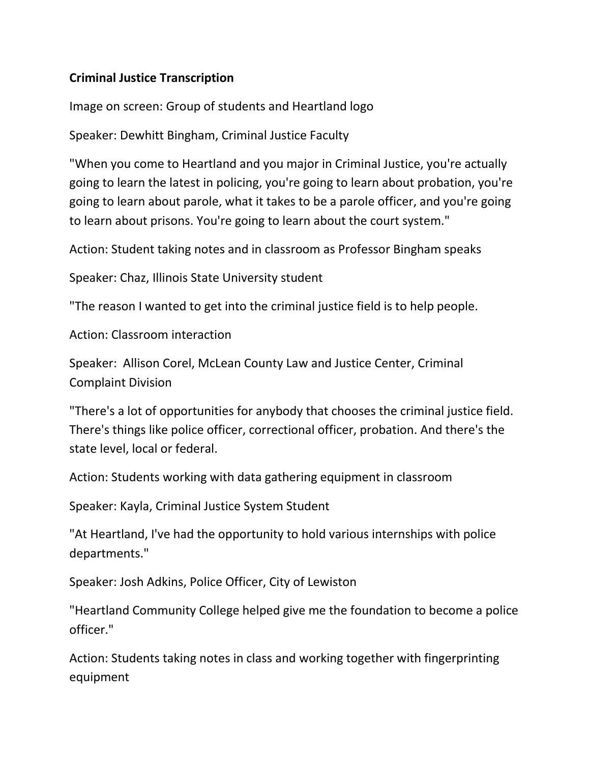## **Criminal Justice Transcription**

Image on screen: Group of students and Heartland logo

Speaker: Dewhitt Bingham, Criminal Justice Faculty

"When you come to Heartland and you major in Criminal Justice, you're actually going to learn the latest in policing, you're going to learn about probation, you're going to learn about parole, what it takes to be a parole officer, and you're going to learn about prisons. You're going to learn about the court system."

Action: Student taking notes and in classroom as Professor Bingham speaks

Speaker: Chaz, Illinois State University student

"The reason I wanted to get into the criminal justice field is to help people.

Action: Classroom interaction

Speaker: Allison Corel, McLean County Law and Justice Center, Criminal Complaint Division

"There's a lot of opportunities for anybody that chooses the criminal justice field. There's things like police officer, correctional officer, probation. And there's the state level, local or federal.

Action: Students working with data gathering equipment in classroom

Speaker: Kayla, Criminal Justice System Student

"At Heartland, I've had the opportunity to hold various internships with police departments."

Speaker: Josh Adkins, Police Officer, City of Lewiston

"Heartland Community College helped give me the foundation to become a police officer."

Action: Students taking notes in class and working together with fingerprinting equipment